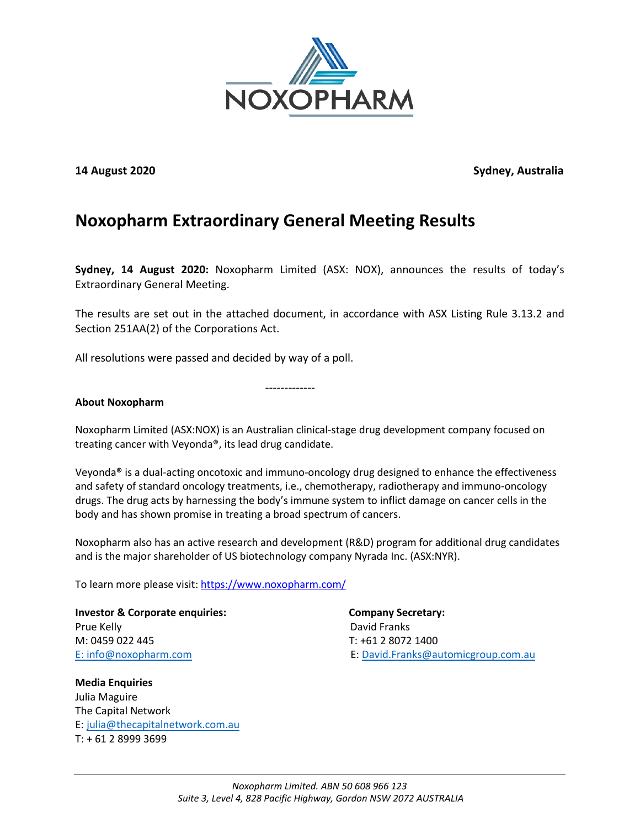

**14 August 2020 Sydney, Australia**

## **Noxopharm Extraordinary General Meeting Results**

**Sydney, 14 August 2020:** Noxopharm Limited (ASX: NOX), announces the results of today's Extraordinary General Meeting.

The results are set out in the attached document, in accordance with ASX Listing Rule 3.13.2 and Section 251AA(2) of the Corporations Act.

All resolutions were passed and decided by way of a poll.

-------------

## **About Noxopharm**

Noxopharm Limited (ASX:NOX) is an Australian clinical-stage drug development company focused on treating cancer with Veyonda®, its lead drug candidate.

Veyonda**®** is a dual-acting oncotoxic and immuno-oncology drug designed to enhance the effectiveness and safety of standard oncology treatments, i.e., chemotherapy, radiotherapy and immuno-oncology drugs. The drug acts by harnessing the body's immune system to inflict damage on cancer cells in the body and has shown promise in treating a broad spectrum of cancers.

Noxopharm also has an active research and development (R&D) program for additional drug candidates and is the major shareholder of US biotechnology company Nyrada Inc. (ASX:NYR).

To learn more please visit:<https://www.noxopharm.com/>

**Investor & Corporate enquiries: Company Secretary:**  Prue Kelly **David Franks** M: 0459 022 445 T: +61 2 8072 1400

**Media Enquiries**  Julia Maguire The Capital Network E: [julia@thecapitalnetwork.com.au](mailto:julia@thecapitalnetwork.com.au) T: + 61 2 8999 3699

E: [info@noxopharm.com](mailto:info@noxopharm.com) E: [David.Franks@automicgroup.com.au](mailto:David.Franks@automicgroup.com.au)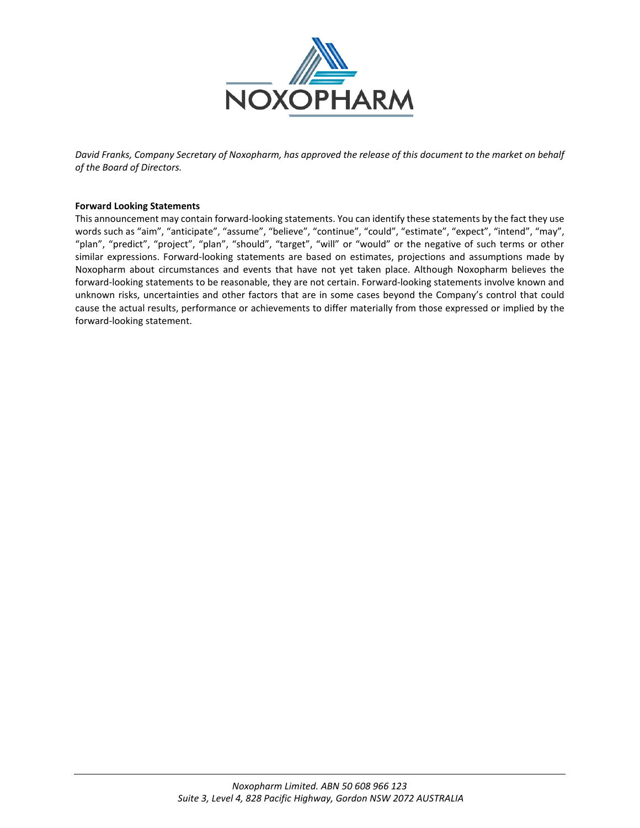

*David Franks, Company Secretary of Noxopharm, has approved the release of this document to the market on behalf of the Board of Directors.*

## **Forward Looking Statements**

This announcement may contain forward-looking statements. You can identify these statements by the fact they use words such as "aim", "anticipate", "assume", "believe", "continue", "could", "estimate", "expect", "intend", "may", "plan", "predict", "project", "plan", "should", "target", "will" or "would" or the negative of such terms or other similar expressions. Forward-looking statements are based on estimates, projections and assumptions made by Noxopharm about circumstances and events that have not yet taken place. Although Noxopharm believes the forward-looking statements to be reasonable, they are not certain. Forward-looking statements involve known and unknown risks, uncertainties and other factors that are in some cases beyond the Company's control that could cause the actual results, performance or achievements to differ materially from those expressed or implied by the forward-looking statement.